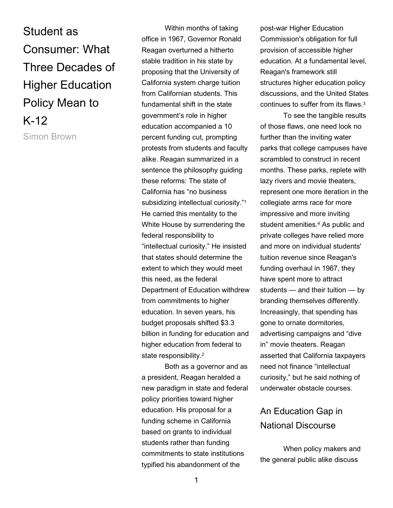Student as Consumer: What Three Decades of Higher Education Policy Mean to K-12 Simon Brown

Within months of taking office in 1967, Governor Ronald Reagan overturned a hitherto stable tradition in his state by proposing that the University of California system charge tuition from Californian students. This fundamental shift in the state government's role in higher education accompanied a 10 percent funding cut, prompting protests from students and faculty alike. Reagan summarized in a sentence the philosophy guiding these reforms: The state of California has "no business subsidizing intellectual curiosity."<sup>1</sup> He carried this mentality to the White House by surrendering the federal responsibility to "intellectual curiosity." He insisted that states should determine the extent to which they would meet this need, as the federal Department of Education withdrew from commitments to higher education. In seven years, his budget proposals shifted \$3.3 billion in funding for education and higher education from federal to state responsibility.<sup>2</sup>

Both as a governor and as a president, Reagan heralded a new paradigm in state and federal policy priorities toward higher education. His proposal for a funding scheme in California based on grants to individual students rather than funding commitments to state institutions typified his abandonment of the

post-war Higher Education Commission's obligation for full provision of accessible higher education. At a fundamental level, Reagan's framework still structures higher education policy discussions, and the United States continues to suffer from its flaws.<sup>3</sup>

To see the tangible results of those flaws, one need look no further than the inviting water parks that college campuses have scrambled to construct in recent months. These parks, replete with lazy rivers and movie theaters, represent one more iteration in the collegiate arms race for more impressive and more inviting student amenities.<sup>4</sup> As public and private colleges have relied more and more on individual students' tuition revenue since Reagan's funding overhaul in 1967, they have spent more to attract students — and their tuition — by branding themselves differently. Increasingly, that spending has gone to ornate dormitories, advertising campaigns and "dive in" movie theaters. Reagan asserted that California taxpayers need not finance "intellectual curiosity," but he said nothing of underwater obstacle courses.

## An Education Gap in National Discourse

When policy makers and the general public alike discuss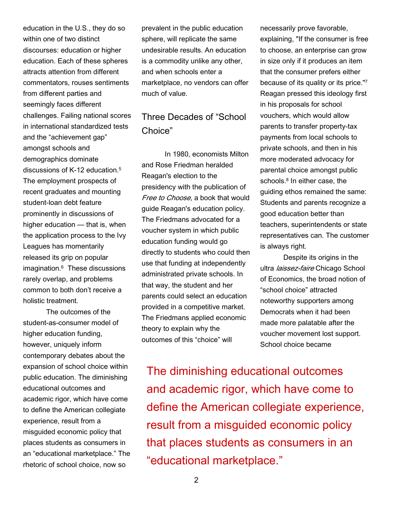education in the U.S., they do so within one of two distinct discourses: education or higher education. Each of these spheres attracts attention from different commentators, rouses sentiments from different parties and seemingly faces different challenges. Failing national scores in international standardized tests and the "achievement gap" amongst schools and demographics dominate discussions of K-12 education.<sup>5</sup> The employment prospects of recent graduates and mounting student-loan debt feature prominently in discussions of higher education — that is, when the application process to the Ivy Leagues has momentarily released its grip on popular imagination.<sup>6</sup> These discussions rarely overlap, and problems common to both don't receive a holistic treatment.

The outcomes of the student-as-consumer model of higher education funding, however, uniquely inform contemporary debates about the expansion of school choice within public education. The diminishing educational outcomes and academic rigor, which have come to define the American collegiate experience, result from a misguided economic policy that places students as consumers in an "educational marketplace." The rhetoric of school choice, now so

prevalent in the public education sphere, will replicate the same undesirable results. An education is a commodity unlike any other, and when schools enter a marketplace, no vendors can offer much of value.

## Three Decades of "School Choice"

In 1980, economists Milton and Rose Friedman heralded Reagan's election to the presidency with the publication of Free to Choose, a book that would guide Reagan's education policy. The Friedmans advocated for a voucher system in which public education funding would go directly to students who could then use that funding at independently administrated private schools. In that way, the student and her parents could select an education provided in a competitive market. The Friedmans applied economic theory to explain why the outcomes of this "choice" will

necessarily prove favorable, explaining, "If the consumer is free to choose, an enterprise can grow in size only if it produces an item that the consumer prefers either because of its quality or its price."<sup>7</sup> Reagan pressed this ideology first in his proposals for school vouchers, which would allow parents to transfer property-tax payments from local schools to private schools, and then in his more moderated advocacy for parental choice amongst public schools.<sup>8</sup> In either case, the guiding ethos remained the same: Students and parents recognize a good education better than teachers, superintendents or state representatives can. The customer is always right.

Despite its origins in the ultra *laissez-faire* Chicago School of Economics, the broad notion of "school choice" attracted noteworthy supporters among Democrats when it had been made more palatable after the voucher movement lost support. School choice became

The diminishing educational outcomes and academic rigor, which have come to define the American collegiate experience, result from a misguided economic policy that places students as consumers in an "educational marketplace."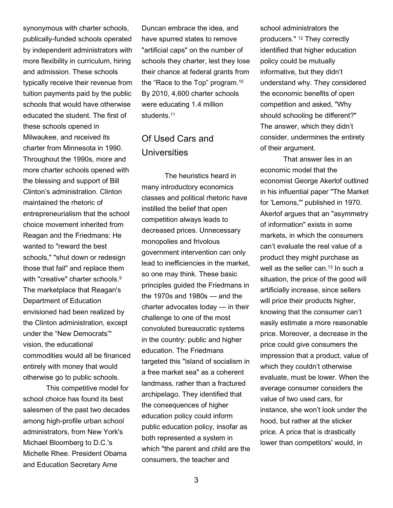synonymous with charter schools, publically-funded schools operated by independent administrators with more flexibility in curriculum, hiring and admission. These schools typically receive their revenue from tuition payments paid by the public schools that would have otherwise educated the student. The first of these schools opened in Milwaukee, and received its charter from Minnesota in 1990. Throughout the 1990s, more and more charter schools opened with the blessing and support of Bill Clinton's administration. Clinton maintained the rhetoric of entrepreneurialism that the school choice movement inherited from Reagan and the Friedmans: He wanted to "reward the best schools," "shut down or redesign those that fail" and replace them with "creative" charter schools.<sup>9</sup> The marketplace that Reagan's Department of Education envisioned had been realized by the Clinton administration, except under the "New Democrats'" vision, the educational commodities would all be financed entirely with money that would otherwise go to public schools.

This competitive model for school choice has found its best salesmen of the past two decades among high-profile urban school administrators, from New York's Michael Bloomberg to D.C.'s Michelle Rhee. President Obama and Education Secretary Arne

Duncan embrace the idea, and have spurred states to remove "artificial caps" on the number of schools they charter, lest they lose their chance at federal grants from the "Race to the Top" program.<sup>10</sup> By 2010, 4,600 charter schools were educating 1.4 million students.<sup>11</sup>

## Of Used Cars and **Universities**

The heuristics heard in many introductory economics classes and political rhetoric have instilled the belief that open competition always leads to decreased prices. Unnecessary monopolies and frivolous government intervention can only lead to inefficiencies in the market, so one may think. These basic principles guided the Friedmans in the 1970s and 1980s — and the charter advocates today — in their challenge to one of the most convoluted bureaucratic systems in the country: public and higher education. The Friedmans targeted this "island of socialism in a free market sea" as a coherent landmass, rather than a fractured archipelago. They identified that the consequences of higher education policy could inform public education policy, insofar as both represented a system in which "the parent and child are the consumers, the teacher and

school administrators the producers." 12 They correctly identified that higher education policy could be mutually informative, but they didn't understand why. They considered the economic benefits of open competition and asked, "Why should schooling be different?" The answer, which they didn't consider, undermines the entirety of their argument.

That answer lies in an economic model that the economist George Akerlof outlined in his influential paper "The Market for 'Lemons,'" published in 1970. Akerlof argues that an "asymmetry of information" exists in some markets, in which the consumers can't evaluate the real value of a product they might purchase as well as the seller can.<sup>13</sup> In such a situation, the price of the good will artificially increase, since sellers will price their products higher, knowing that the consumer can't easily estimate a more reasonable price. Moreover, a decrease in the price could give consumers the impression that a product, value of which they couldn't otherwise evaluate, must be lower. When the average consumer considers the value of two used cars, for instance, she won't look under the hood, but rather at the sticker price. A price that is drastically lower than competitors' would, in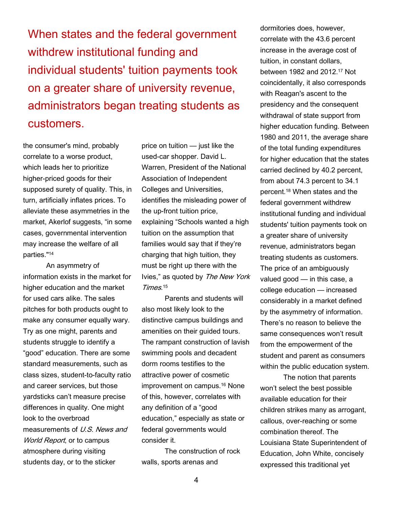When states and the federal government withdrew institutional funding and individual students' tuition payments took on a greater share of university revenue, administrators began treating students as customers.

the consumer's mind, probably correlate to a worse product, which leads her to prioritize higher-priced goods for their supposed surety of quality. This, in turn, artificially inflates prices. To alleviate these asymmetries in the market, Akerlof suggests, "in some cases, governmental intervention may increase the welfare of all parties."<sup>14</sup>

An asymmetry of information exists in the market for higher education and the market for used cars alike. The sales pitches for both products ought to make any consumer equally wary. Try as one might, parents and students struggle to identify a "good" education. There are some standard measurements, such as class sizes, student-to-faculty ratio and career services, but those yardsticks can't measure precise differences in quality. One might look to the overbroad measurements of U.S. News and World Report, or to campus atmosphere during visiting students day, or to the sticker

price on tuition — just like the used-car shopper. David L. Warren, President of the National Association of Independent Colleges and Universities, identifies the misleading power of the up-front tuition price, explaining "Schools wanted a high tuition on the assumption that families would say that if they're charging that high tuition, they must be right up there with the Ivies," as quoted by The New York Times. 15

Parents and students will also most likely look to the distinctive campus buildings and amenities on their guided tours. The rampant construction of lavish swimming pools and decadent dorm rooms testifies to the attractive power of cosmetic improvement on campus.16 None of this, however, correlates with any definition of a "good education," especially as state or federal governments would consider it.

The construction of rock walls, sports arenas and

dormitories does, however, correlate with the 43.6 percent increase in the average cost of tuition, in constant dollars, between 1982 and 2012.17 Not coincidentally, it also corresponds with Reagan's ascent to the presidency and the consequent withdrawal of state support from higher education funding. Between 1980 and 2011, the average share of the total funding expenditures for higher education that the states carried declined by 40.2 percent, from about 74.3 percent to 34.1 percent.18 When states and the federal government withdrew institutional funding and individual students' tuition payments took on a greater share of university revenue, administrators began treating students as customers. The price of an ambiguously valued good — in this case, a college education — increased considerably in a market defined by the asymmetry of information. There's no reason to believe the same consequences won't result from the empowerment of the student and parent as consumers within the public education system.

The notion that parents won't select the best possible available education for their children strikes many as arrogant, callous, over-reaching or some combination thereof. The Louisiana State Superintendent of Education, John White, concisely expressed this traditional yet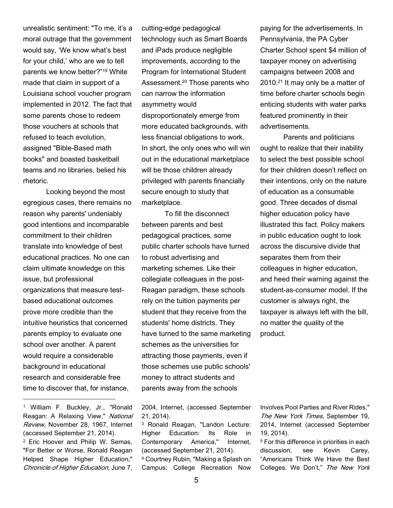unrealistic sentiment: "To me, it's a moral outrage that the government would say, 'We know what's best for your child,' who are we to tell parents we know better?"19 White made that claim in support of a Louisiana school voucher program implemented in 2012. The fact that some parents chose to redeem those vouchers at schools that refused to teach evolution, assigned "Bible-Based math books" and boasted basketball teams and no libraries, belied his rhetoric.

Looking beyond the most egregious cases, there remains no reason why parents' undeniably good intentions and incomparable commitment to their children translate into knowledge of best educational practices. No one can claim ultimate knowledge on this issue, but professional organizations that measure testbased educational outcomes prove more credible than the intuitive heuristics that concerned parents employ to evaluate one school over another. A parent would require a considerable background in educational research and considerable free time to discover that, for instance,

<sup>1</sup> William F. Buckley, Jr., "Ronald Reagan: A Relaxing View," National Review, November 28, 1967, Internet (accessed September 21, 2014). <sup>2</sup> Eric Hoover and Philip W. Semas,

 $\overline{a}$ 

"For Better or Worse, Ronald Reagan Helped Shape Higher Education," Chronicle of Higher Education, June 7, cutting-edge pedagogical technology such as Smart Boards and iPads produce negligible improvements, according to the Program for International Student Assessment.20 Those parents who can narrow the information asymmetry would disproportionately emerge from more educated backgrounds, with less financial obligations to work. In short, the only ones who will win out in the educational marketplace will be those children already privileged with parents financially secure enough to study that marketplace.

To fill the disconnect between parents and best pedagogical practices, some public charter schools have turned to robust advertising and marketing schemes. Like their collegiate colleagues in the post-Reagan paradigm, these schools rely on the tuition payments per student that they receive from the students' home districts. They have turned to the same marketing schemes as the universities for attracting those payments, even if those schemes use public schools' money to attract students and parents away from the schools

2004, Internet, (accessed September 21, 2014).

<sup>3</sup> Ronald Reagan, "Landon Lecture: Higher Education: Its Role in Contemporary America," Internet, (accessed September 21, 2014). <sup>4</sup> Courtney Rubin, "Making a Splash on Campus: College Recreation Now

paying for the advertisements. In Pennsylvania, the PA Cyber Charter School spent \$4 million of taxpayer money on advertising campaigns between 2008 and 2010.21 It may only be a matter of time before charter schools begin enticing students with water parks featured prominently in their advertisements.

Parents and politicians ought to realize that their inability to select the best possible school for their children doesn't reflect on their intentions, only on the nature of education as a consumable good. Three decades of dismal higher education policy have illustrated this fact. Policy makers in public education ought to look across the discursive divide that separates them from their colleagues in higher education, and heed their warning against the student-as-consumer model. If the customer is always right, the taxpayer is always left with the bill, no matter the quality of the product.

Involves Pool Parties and River Rides," The New York Times, September 19, 2014, Internet (accessed September 19, 2014).

<sup>5</sup> For this difference in priorities in each discussion, see Kevin Carey, "Americans Think We Have the Best Colleges. We Don't," The New York